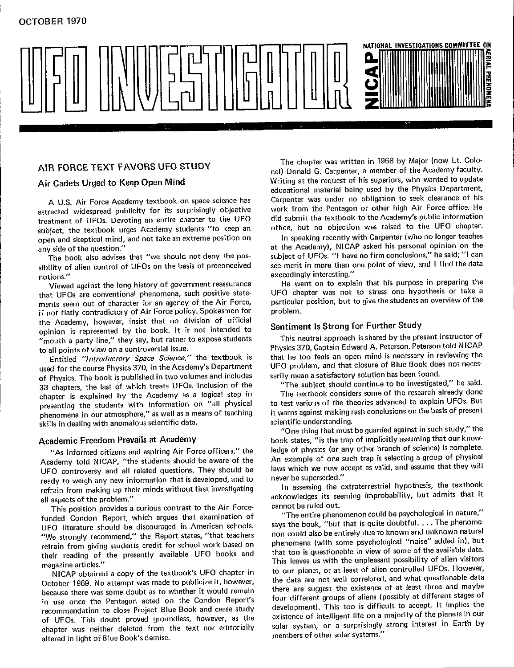

attracted w**i**des**p**read publ**i**city for its surprisingly object**i**ve work from the **P**entagon or other high Air Force office. He treatment of UFOs. Devot**i**ng an entire c**h**apter to the UFO did submit t**h**e te**x**tbook to t**h**e Academy's public **i**nformation open and skeptical mind, and not take an extreme position on In speaking recently with Carpenter (who no longer teaches

sibility of alien control of UFOs on the basis of preconceived see merit in more than one point of view, and the t<br>"exceedingly interesting." n**o**tions." exceedingly **i**nteresting**.**"

Viewed against the tong history of government reassurance He went on the went that the street and higher the street and higher the street and higher the street and higher the street and higher the street and higher the str that UFOs are conventional phenomena, such positive state-<br>ments seem out of character for an agency of the Air Force. particular position, but to give the students an overview of the ments seem out of character for an agency of the Air Force, particular position position of Air Force policy, Spokesmen for problem. if not flatly contradictory of Air Force policy. Spokesmen for the Academy, however, insist that no division of official opinion **i**s represented by the book. It is not **i**ntended to Sentiment IS St**r**ong for Further Study

used for the course Physics 3**7**0**,** in the Academ**y'**s Department UFO **p**roblem, and that closure of B**l**ue Book does not necesof Phys**i**cs. The book is published in two volumes and **i**nclu**d**es sarily mean a satisfactory solut**i**on has been found. 33 chapters, the last of w**h**ich treats UFOs. Inclusion of the "The subject should c**o**ntinue to be **i**nvest**i**gated," he sa**i**d. presenting the students with information on "all physical to test various of the theories advanced to explain UFOs. But phenomena in our atmosphere," as well as a means of teaching it warns against making rash conclusions on the basi<br>skills in dealing with anomalous scientific data.

Academy told NICAP, "the students should be aware of the An example of one such trap is selecting a group of physical UFO controversy and all related questions. They should be laws which we now a<br>ready to weigh any new information that is developed and to never be superseded." ready to weigh any new information that is developed, and to never be superseded."<br>refrain from making up their minds without first investigating ln assessing the extraterrestrial hypothesis, the textbook refrain from making up their minds without mst investigating In assessing the exempt improbability but admits the

This position provides a curious contrast to the Air Force-<br>
funded Condon Report, which argues that examination of "The entire phenomenon could be psychological in nature,"<br>
The entire phenomenon could be psychological in UFO literature should be discouraged in American schools. says the book, "but that is quite doubtrul.... The phenome-<br>"We strongly recommend," the Report states, "that teachers non could also be entirely due to known and u refrain from giving students credit for school work based on phenomena (with some psychological "noise" added in), but refrain from giving students created on the students created on phat too is questionable in view of some of the available data.

NICA REPORTED A controlled a copy of the text of the text of the data are not well correlated, and what questionable data October 1969. No attempt was made to publicize it, however, the data are not well correlated, and wh because there was some doubt as to whether it would remain there are suggest the existence of at least three and maybe<br>in use once the Pentagon acted on the Condon Report's four different groups of aliens (possibly at diff in use once the Pentagon acted on the Content Herbert direction development). This too is difficult to accept. It implies the recommendation to close Project Blue Book and cease study development). This too is difficult to recommendation to close Project Blue Book and cease study and cease intelligent life on a majority of the planets in our of UFOs. This doubt proved groundless, however, as the existence of intelligent life on a majority of chapter was neither deleted from the text nor editorially solar system, or a surprisingly<br>"strong in light of Blue Book's demise altered in light of Blue Book's demise.

AIR FORCE TEXT FAVORS UFO STUDY<br>
nel) Donald G. Carpenter, a member of the Academy faculty. Writing at the request of his superiors, who wanted to update A**i**r Cadets Urged to Keep Open Mind Wr**i**ting at the request of his su**p**eriors, who wanted to update Carpenter was under no obligation to seek clearance of his A U**.**S**.** Air Force Academy textbook on space science has Carpenter was under no ob**l**igation to seek clearance of **h**is

any side of the question." The notation on the annual metal mind, and the Academy), NICAP asked his personal opinion on the subject of UFOs. "I have no firm conclusions," he said; "I can The book also advises that "we sbould not deny the pos- subject of UFOs. "**'**1 have no firm conclusions," he said;"l can

to all points of view on a controversial issue. **The properties a student is neutral approach in Physics 370, Captain Edward A. Peterson. Peterson told NICAP** Entitled "Introductory Space Science," the textbook is that he too feels an open mind is necessary in reviewing the UFO problem, and that closure of Blue Book does not neces-

it warns against making rash conclusions on the basis of present

skills in dealing with anomalous scientific data, scientif**i**c understa**n**ding. book states, "is the trap of implicitly assuming that our know-Academic Freedom Prevails at Academy<br>"As informed citizens and aspiring Air Force officers," the ledge of physics (or any other branch of science) is complete. laws which we now accept as valid, and assume that they will

all aspects of the problem. The problem is seen that its seeming in the seeming in the seeding in the seeding in the seeding in the seeding in the seeding in the seeding in the seeding in the seeding in the seeding in the

says the book, "but that is quite doubtful. . . . The phenomethe present of the presently available UFO books and the unpleasant possibility of alien visitors magazine articles." magazine articles. However, NICAP obtained a copy of the textbook's UFO chapter in the our planet, or at least of alien controlled UFOs. However, there are suggest the existence of at least three and maybe solar system, or a surprisingly strong interest in Earth by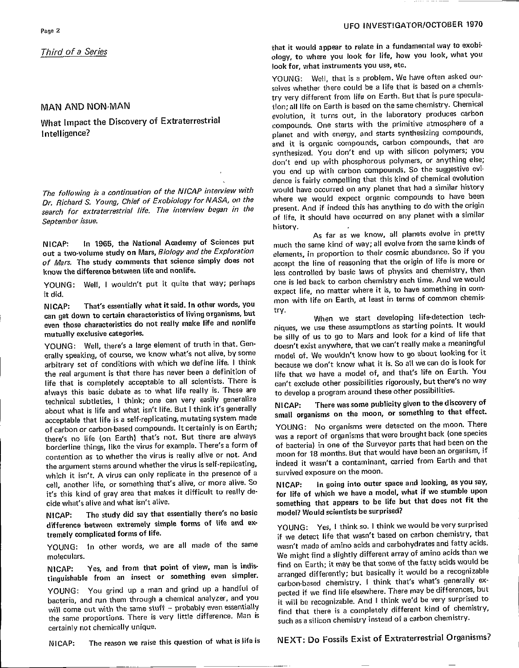search for extraterrestrial life. The interview began in the present. And if indeed this has anything to do with the origin search for extraterrestrial life. The interview began in the present of life, it should have occurred on any planet with a similar September issue.

In 1965, the National Academy of Sciences put NICAP: **Out a two-volume study on Mars, Biology and the Exploration elements, in proportion to their cosmic abundance. So if you**  $of$  *Mars*. The study comments that science simply does not

TOUNG: WE WARD: WE WARD: WE WARD: WE WARD: PUT IT WAS ARRESTED FOR THE PUT IT CONTROLLED BACK TO CARBON CHEMISTRY EACH TIME. AND WAS ARRESTED FOR THE PUT IT CONTROLLED BACK TO CARBON CHEMISTRY EACH TIME. AND WE WARD TO CAR

NICAP: That's essentially what it said. In other words, you mon with life on Earth, at least *in* terms of common chemis-<br>can get down to certain characteristics of living organisms, but try.<br>When we start developing life**c**even those characteristics do not really make life and nonlife

erally speaking, of course, we know what's not alive, by some model of. We wouldn't know how to go about looking for it arbitrary set of conditions with which we define life. I think because we don't know what it is. So all we can do is look for the real argument is that there has never been a definition of life that we have a model of, and that's life on Earth. You life that is completely acceptable to all scientists. There is ean't exclude other possibilities rigorously, but there's no way always this basic debate as to what life really is. These are to develop a program around these other possibilities. always this basic debate as to what the teamy is. These are to develop a program around these other possible<br>technical subtleties, I think; one can very easily generalize MICAP: There was some publicity given to the about what is life and what isn't life. But I think it's generally<br>acceptable that life is a self-replicating, mutating system made small organisms on the moon, or something to that effect. of carbon or carbon-based compounds. It certainly is on Earth; YOUNG: No organisms were detected on the moon. There there's no life (on Earth) that's not. But there are always was a report of organisms that were brought back (one species thereftine things, like the virus for example. There's a form of of bacteria) in one of the Surveyor parts that had been on the contention as to whether the virus is really alive or not. And moon for 18 months. But that would have been an organism, if the argument stems around whether the virus is self-replicating, indeed it wasn't a contaminant unkich it isn't A virus can only replicate in the presence of a survived exposure on the moon. **w**hich **i**t is**n**'t. A v**i**rus can only rep**l**icate **in t**he pre**s**e**n**ce of a sur**v**i**v**ed **e**xposure o**n t**he moon**.** it's this kind of gray area that makes it difficult to really de- for life of which we have a model, what if we stumble upon

NICAP: The study did say that essentially there's no basic model? Would scientists be surprised? NIGAP: The study did say that essemantly the same indicate country. **d**iffe**r**e**nce b**et**w**een e**x**t**r**emel**y s**im**p**l**e f**o**rms** of life a**n**d ex-

tinguishable from an insect or something even simpler. arranged differently; but basically it would be a recognizable

bacteria, and run them through a chemical analyzer, and you<br>will come out with the same stuff - probably even essentially **the find that there is a completely different kind of chemistry.** will come out with the same stuff -- probably even essentially find that there is a completely different kind of chemistry,<br>the same proportions. There is very little difference. Man is and an actional chemistry instead of

## **Page 2** U<sub>**FO III U<sub>P</sub> III UP III UP III UP III UP III UP III UP III UP III UP III UP III UP III UP III UP III UP III UP III UP III UP III UP III UP III UP III UP III UP III UP III UP III UP III UP III UP III UP III UP II</sub>**

Third of a Series that it woul**d** appear to rel**a**te in a f**u**ndamental way **t**o e**x**obio**l**o**gy**, t**o** whe**r**e **yo**u l**oo**k f**o**r l**if**e**,** ho**w** y**ou** l**o**ok, **w**ha**t** y**ou**

YOUNG: Well, that is a problem. We have often asked ourselves whether there could be a life that is based on a chemistry very different from life on Earth. But that is pure specula**tion; all life on Earth is based on the same chemistry. Chemical** MAN AND NON-MAN<br>
wolution, it turns out, in the laboratory produces carbon<br>
move that limpact the Discovery of Extraterrestrial<br>
compounds Che starts with the primitive atmosphere of a **What Impact the Discovery of Extraterrestrial evolution, compounds. One starts with the primitive atmosphere of a<br>Intelligence?** planet and with energy, and starts synthesizing compounds, and it is organic compounds, carbon compounds, that are synthesized. You don't end up with silicon polymers; you don't end up with phosphorous polymers, or anything else; you end up with carbon compounds. So the suggestive evidence is fairly compelling that this kind of chemical evolution would have occurred on any planet that had a similar history The following is a continuation of the NICAP interview with would **h**ave occurre**d** on any planet that ha**d** a similar h**is**tor**y** September issue, **of life, it should be a similar of life, it should be a similar of the similar similar angle of the similar similar similar similar similar similar similar similar similar similar similar similar similar h**istory.

As far as we kno**w**, all planets evolve in pre**t**ty of *Mars.* The study comments that science simply does not accept the line of reasoning that the origin of life is more or know the difference between life and nonlife. YOUNG: Well, I wouldn't put it quite that way; perhaps one is led back to carbon chemistry each time. And we would mon with life on Earth, at least in terms of common chemis-

even those characteristics do not really make the dividing points. It would<br>mutually exclusive categories.<br>he silly of us to no to Mars and look for a kind of life that mutually exclusive categories.<br>YOUNG: Well, there's a large element of truth in that. Gen-<br>doesn't exist anywhere, that we can't really make a meaningful doesn't exist anywhere, that we can't really make a meaningful

indeed it wasn't a contaminant, carried from Earth and that

cide what's alive and what isn't alive. The something that appears to be life but that does not fit the

tremely complicated forms of life.<br>YOUNG: In other words, we are all made of the same wasn't made of amino acids and carbohydrates and fatty acids. moleculars. The might find a slightly different array of amino acids than we **n**/CAP: Yes, and from that point of view, man is indis-<br>by the cast is may be that some of the a reconsizable tinguishams from an *insect* of containing the company carbon-based chemistry. I think that's what's generally ex-<br>YOUNG: You grind up a man and grind up a handful of narted if we find life elsewhere. There may be differen YOUNG: You grind up a man and grind up a handful of pected if we find life elsewhere. There may be differences, but bacteria, and run them through a chemical analyzer, and you such as a silicon chemistry instead of a carbon chemistry.

NICAP: The reason we raise this question of what is life is

certainly not chemically unique,<br>NICAP: The reason we raise this question of what is life is MEXT: Do Fossils Exist of Extraterrestrial Organisms?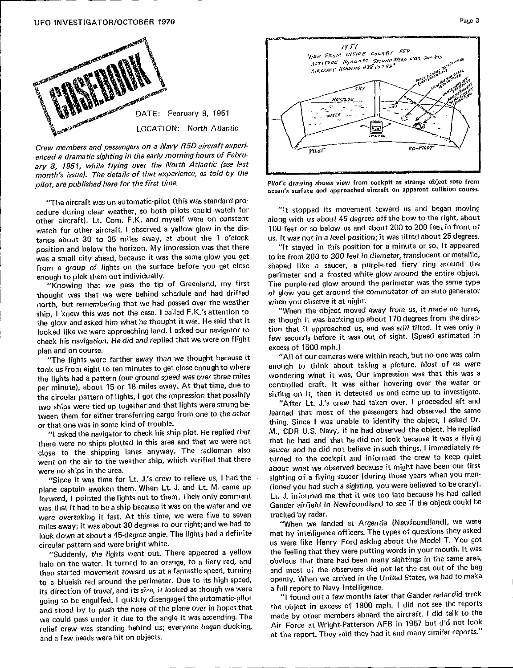### **UF**O **I**NV**ES**TI**GA**TOR/OCTOB**ER** 1**970** Paso**3**



Crew members and passengers on a Navy RSD air**c**raft experienced a dramatic sighting in the early morning hours of February 8, 1951, while flying over the North Atlantic (see last month's issue). The details of that experience, as told by the **Later and the month** is in the set of the first time,<br>pilot, are published here for the first time, **the contract of the contract of the contract of the contr** 

"Th**e** a**i**r**c**raft w**as o**n **aut**omat**ic**-**p**i**lot** (t**h**is **w**as s**tan**d**ar**d **pr**ocedure during clear weather, so both pilots could watch for "It stopped its movement toward us and began moving<br>other aircraft). Lt. Com. F.K. and myself were on constant along with us about 45 degrees off the bow to the r watch for other aircraft. I observed a yellow glow in the dis-<br>
100 feet or so below us and about 200 to 300 feet in front of tance about 30 to 35 miles away, at about the 1 o'clock us. It was not in a level position; it was tilted about 25 degrees. position and below the horizon. My impression was that there **1992** "It stayed in this position for a minute or so. It appeared **posa** is small city ahead, because it was the same glow you get but to be from 200 to 300 feet in diameter, translucent or metallic, from a group of lights on the surface before you get close shaped like a saucer, a purple-red fiery ring around the enough to pick them out individually. The surface specimeter and a frosted white glow around the entire object.

thought was that we were behind schedule and had drifted of glow you get around the commutation that we had passed over the weather when you observe it at night. n**o**rth, but remembering that we had **p**assed over the weather when you observ**e** it at night. ship, a know this was not the case of the case. He said that it as though it was backing up about 170 degrees from the direction the directooked like we were approaching land. I asked our navigator to tion that it approached us, and was still tilted. It was only a check his navigation. He did and replied that we were on flight few seconds before it<br>plan and on course. (speed excess of 1500 mph.)

took us from eight to ten minutes to get close enough to where enough to think about taking a picture. Most of us were the lights had a pattern (our ground speed was over three miles wondering what it was. Our impression was that this was a **the lights had a part is had a** part is had a way. At that time, due to controlled craft. It was either hovering over the water or the circular pattern of lights, I got the impression that possibly sitting on it, then it detected us and came up to investigate. two ships were tied up together and that lights were strung be-<br> **The impare in the investigates** over the independent on the independent of the independent of the then it and two ships were tied up to gether were treasuring cargo from one to the other learned that most of the passengers had observed the same

there were no ships plotted in this area and that we were not that he had and that he did not look because it was a flying close to the shipping lanes anyway. The radioman also saucer and he did not believe in such things. I immediately rewent on the air to the weather ship, which verified that there turned to the cockpit and informed the crew to keep quiet

plane captain awaken them. When Lt. J. and Lt. M. came up tioned you had such a sighting, you were believed to be crazy). **plane captain and Let and Let and Lt. M. captain and the captain and the superior of the captain and called forward, I pointed the lights out to them. Their only comment Lt. J. informed me that it was too late because he** was that it had to be a ship because it was on the water and we Gander airfield in  $\frac{d}{dx}$  overthelm if  $\frac{d}{dx}$  and  $\frac{d}{dx}$  this time we were five to seven tracked by radar. were overtaking it fast. At this time, we were five to seven tracked by radar.<br>miles away; it was about 30 degrees to our right; and we had to **the was we we landed at Argentia (Newfoundland), we were** income to the court 30 degree angle. The lights had a definite met by intelligence officers. The types of questions they asked

halo on the water. It turned to an orange, to a fiery red, and obvious that there had been many sightings in the same area, then started movement toward us at a fantastic speed, turning and most of the observers did not let the cat out of the bag to a blueish red around the perimeter. Due to i**t**s hi**g**h speed, o**p**enly. When we arrived in the U**n**ited State**s**, we ha**d** to make its direction of travel, and it is in the subset of the automatic-pilot  $\cdots$  "I found out a few months later that Gander radar did track going to be enganced. I going the pilot of the plane over in hopes that the object in excess of 1800 mph. I did not see the reports and stood by to push the nose of the plane over in hopes that the object in excess of 1800 and stood by the planne of the stood of the angle it was ascending. The made by other members aboard the aircraft. I did talk to the we come the angle it was standing behind us; everyone began ducking, and the Force at Wright-Patterson AFB in 1957 but did not look and a few heads were hit on objects.



pliot, are published note for the rise cancel. The contraction of the second arrest of the second arrest collision course. **ocea**n'**ssurfac**e**and appr**o**acheda**i**rcraft** o**n apparentcollisio**n**course.**

"Knowing that we pass the tip of Greenland, my first The purple-red glow around the perimeter was the same type  $\alpha$  for glow you get around the commutator of an auto generator

few seconds before it was out of sight. (Speed estimated in

where the contract.<br>"The lights were farther away than we thought because it **help in the 1500 manufator of 1500 m**pm.

tween them for either **the cargo from the cargo from the other them** for the other Jeerne of the other Jeerne of the other Jeerne of the passengers of the passengers of the same of the passengers of the same of the same of one the was in some that the some that we have the replied that M., CDR U.S. Navy, if he had observed the object. He replied **were no ships in the area.** What we observed because it might have been our first where no ships in the area. "Since it was time for Lt. J's crew to relieve us, I had the sighting of a flying saucer (during those years when you men-Gander airfield in Newfoundland to see if the object could be

**discrime and were bright white.** The lights of the like Henry Ford asking about the Model T. You got "Suddenly, the lights went out. There appeared a yellow the feeling that they were putting words in your mouth. It was openly. When we arrived in the United States, we had to make

at the report. They said they had it and many similar reports."